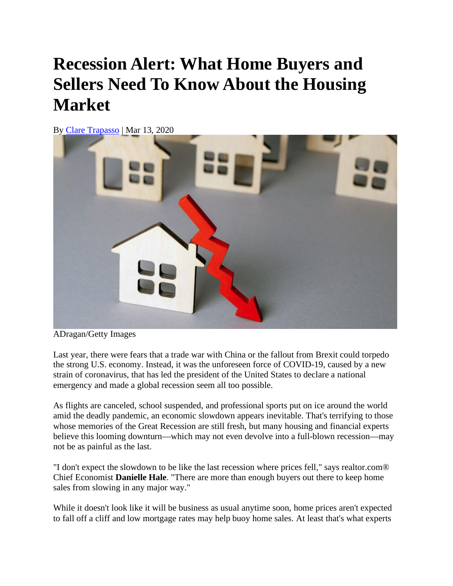## **Recession Alert: What Home Buyers and Sellers Need To Know About the Housing Market**

By [Clare Trapasso](https://www.realtor.com/author/ctrapasso) | Mar 13, 2020



ADragan/Getty Images

Last year, there were fears that a trade war with China or the fallout from Brexit could torpedo the strong U.S. economy. Instead, it was the unforeseen force of COVID-19, caused by a new strain of coronavirus, that has led the president of the United States to declare a national emergency and made a global recession seem all too possible.

As flights are canceled, school suspended, and professional sports put on ice around the world amid the deadly pandemic, an economic slowdown appears inevitable. That's terrifying to those whose memories of the Great Recession are still fresh, but many housing and financial experts believe this looming downturn—which may not even devolve into a full-blown recession—may not be as painful as the last.

"I don't expect the slowdown to be like the last recession where prices fell," says realtor.com® Chief Economist **Danielle Hale**. "There are more than enough buyers out there to keep home sales from slowing in any major way."

While it doesn't look like it will be business as usual anytime soon, home prices aren't expected to fall off a cliff and low mortgage rates may help buoy home sales. At least that's what experts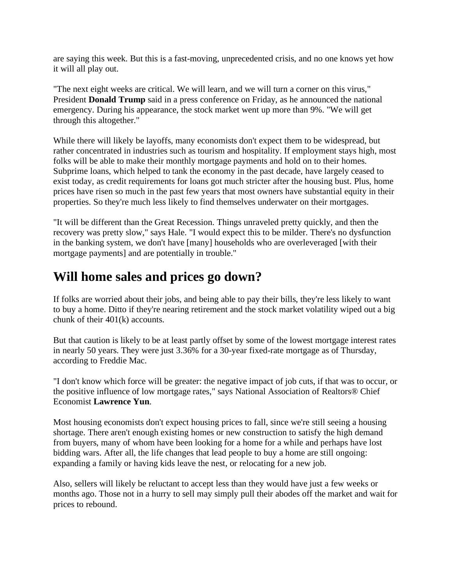are saying this week. But this is a fast-moving, unprecedented crisis, and no one knows yet how it will all play out.

"The next eight weeks are critical. We will learn, and we will turn a corner on this virus," President **Donald Trump** said in a press conference on Friday, as he announced the national emergency. During his appearance, the stock market went up more than 9%. "We will get through this altogether."

While there will likely be layoffs, many economists don't expect them to be widespread, but rather concentrated in industries such as tourism and hospitality. If employment stays high, most folks will be able to make their monthly mortgage payments and hold on to their homes. Subprime loans, which helped to tank the economy in the past decade, have largely ceased to exist today, as credit requirements for loans got much stricter after the housing bust. Plus, home prices have risen so much in the past few years that most owners have substantial equity in their properties. So they're much less likely to find themselves underwater on their mortgages.

"It will be different than the Great Recession. Things unraveled pretty quickly, and then the recovery was pretty slow," says Hale. "I would expect this to be milder. There's no dysfunction in the banking system, we don't have [many] households who are overleveraged [with their mortgage payments] and are potentially in trouble."

## **Will home sales and prices go down?**

If folks are worried about their jobs, and being able to pay their bills, they're less likely to want to buy a home. Ditto if they're nearing retirement and the stock market volatility wiped out a big chunk of their 401(k) accounts.

But that caution is likely to be at least partly offset by some of the lowest mortgage interest rates in nearly 50 years. They were just 3.36% for a 30-year fixed-rate mortgage as of Thursday, according to Freddie Mac.

"I don't know which force will be greater: the negative impact of job cuts, if that was to occur, or the positive influence of low mortgage rates," says National Association of Realtors® Chief Economist **Lawrence Yun**.

Most housing economists don't expect housing prices to fall, since we're still seeing a housing shortage. There aren't enough existing homes or new construction to satisfy the high demand from buyers, many of whom have been looking for a home for a while and perhaps have lost bidding wars. After all, the life changes that lead people to buy a home are still ongoing: expanding a family or having kids leave the nest, or relocating for a new job.

Also, sellers will likely be reluctant to accept less than they would have just a few weeks or months ago. Those not in a hurry to sell may simply pull their abodes off the market and wait for prices to rebound.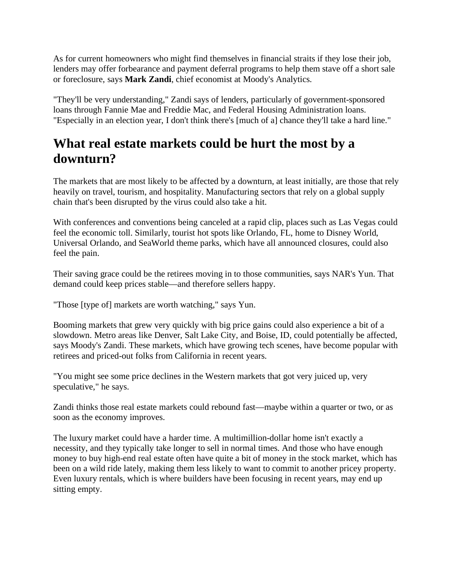As for current homeowners who might find themselves in financial straits if they lose their job, lenders may offer forbearance and payment deferral programs to help them stave off a short sale or foreclosure, says **Mark Zandi**, chief economist at Moody's Analytics.

"They'll be very understanding," Zandi says of lenders, particularly of government-sponsored loans through Fannie Mae and Freddie Mac, and Federal Housing Administration loans. "Especially in an election year, I don't think there's [much of a] chance they'll take a hard line."

## **What real estate markets could be hurt the most by a downturn?**

The markets that are most likely to be affected by a downturn, at least initially, are those that rely heavily on travel, tourism, and hospitality. Manufacturing sectors that rely on a global supply chain that's been disrupted by the virus could also take a hit.

With conferences and conventions being canceled at a rapid clip, places such as Las Vegas could feel the economic toll. Similarly, tourist hot spots like Orlando, FL, home to Disney World, Universal Orlando, and SeaWorld theme parks, which have all announced closures, could also feel the pain.

Their saving grace could be the retirees moving in to those communities, says NAR's Yun. That demand could keep prices stable—and therefore sellers happy.

"Those [type of] markets are worth watching," says Yun.

Booming markets that grew very quickly with big price gains could also experience a bit of a slowdown. Metro areas like Denver, Salt Lake City, and Boise, ID, could potentially be affected, says Moody's Zandi. These markets, which have growing tech scenes, have become popular with retirees and priced-out folks from California in recent years.

"You might see some price declines in the Western markets that got very juiced up, very speculative," he says.

Zandi thinks those real estate markets could rebound fast—maybe within a quarter or two, or as soon as the economy improves.

The luxury market could have a harder time. A multimillion-dollar home isn't exactly a necessity, and they typically take longer to sell in normal times. And those who have enough money to buy high-end real estate often have quite a bit of money in the stock market, which has been on a wild ride lately, making them less likely to want to commit to another pricey property. Even luxury rentals, which is where builders have been focusing in recent years, may end up sitting empty.